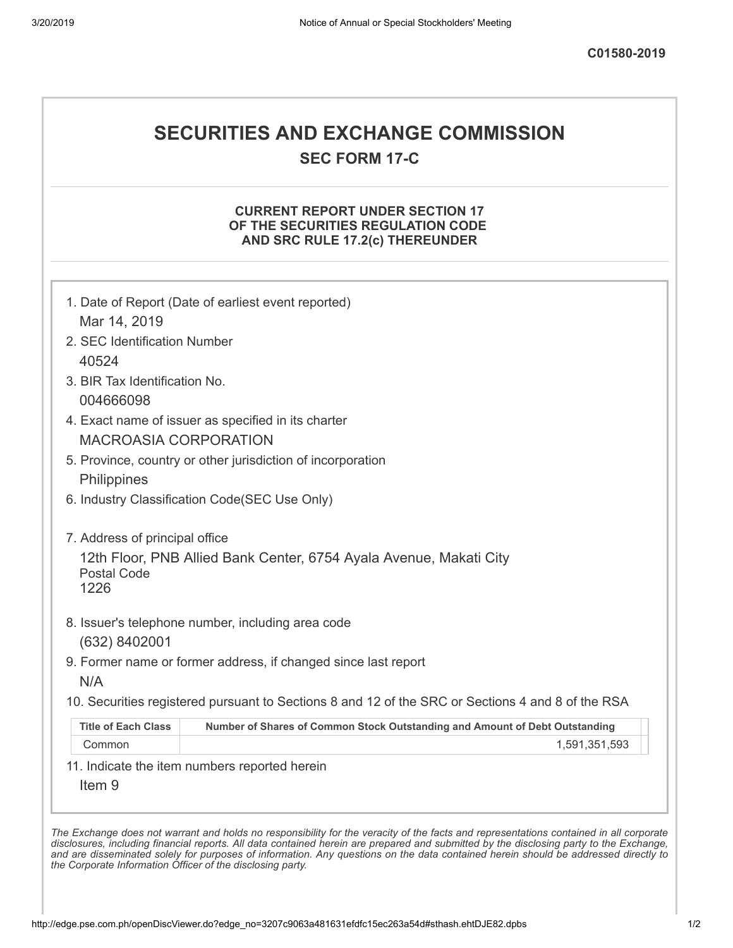# **SECURITIES AND EXCHANGE COMMISSION**

**SEC FORM 17-C**

### **CURRENT REPORT UNDER SECTION 17 OF THE SECURITIES REGULATION CODE AND SRC RULE 17.2(c) THEREUNDER**

| 1. Date of Report (Date of earliest event reported)<br>Mar 14, 2019 |                                                                                                   |  |
|---------------------------------------------------------------------|---------------------------------------------------------------------------------------------------|--|
| 2. SEC Identification Number                                        |                                                                                                   |  |
| 40524                                                               |                                                                                                   |  |
| 3. BIR Tax Identification No.                                       |                                                                                                   |  |
| 004666098                                                           |                                                                                                   |  |
|                                                                     | 4. Exact name of issuer as specified in its charter                                               |  |
| <b>MACROASIA CORPORATION</b>                                        |                                                                                                   |  |
|                                                                     | 5. Province, country or other jurisdiction of incorporation                                       |  |
| Philippines                                                         |                                                                                                   |  |
| 6. Industry Classification Code(SEC Use Only)                       |                                                                                                   |  |
| <b>Postal Code</b><br>1226                                          |                                                                                                   |  |
|                                                                     | 8. Issuer's telephone number, including area code                                                 |  |
| (632) 8402001                                                       | 9. Former name or former address, if changed since last report                                    |  |
| N/A                                                                 |                                                                                                   |  |
|                                                                     | 10. Securities registered pursuant to Sections 8 and 12 of the SRC or Sections 4 and 8 of the RSA |  |
| <b>Title of Each Class</b>                                          | Number of Shares of Common Stock Outstanding and Amount of Debt Outstanding                       |  |
| Common                                                              | 1,591,351,593                                                                                     |  |
|                                                                     | 11. Indicate the item numbers reported herein                                                     |  |
|                                                                     |                                                                                                   |  |

disclosures, including financial reports. All data contained herein are prepared and submitted by the disclosing party to the Exchange, and are disseminated solely for purposes of information. Any questions on the data contained herein should be addressed directly to *the Corporate Information Officer of the disclosing party.*